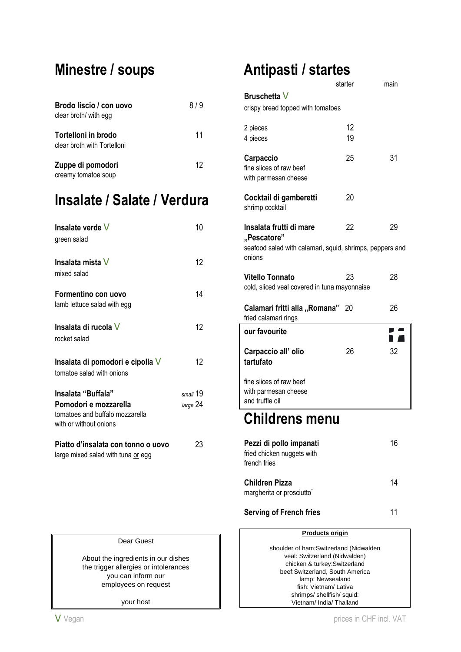# **Minestre / soups**

| Brodo liscio / con uovo<br>clear broth/ with egg   | 819 |
|----------------------------------------------------|-----|
| Tortelloni in brodo<br>clear broth with Tortelloni | 11  |
| Zuppe di pomodori<br>creamy tomatoe soup           | 12  |

## **Insalate / Salate / Verdura**

| Insalate verde V<br>green salad                                                    | 10       |
|------------------------------------------------------------------------------------|----------|
| Insalata mista V<br>mixed salad                                                    | 12       |
| Formentino con uovo<br>lamb lettuce salad with egg                                 | 14       |
| Insalata di rucola V<br>rocket salad                                               | 12       |
| Insalata di pomodori e cipolla V<br>tomatoe salad with onions                      | 12       |
| Insalata "Buffala"                                                                 | small 19 |
| Pomodori e mozzarella<br>tomatoes and buffalo mozzarella<br>with or without onions | large 24 |
| Piatto d'insalata con tonno o uovo<br>large mixed salad with tuna or egg           | 23       |

# **Antipasti / startes**

| starter                                            | main                                                               |
|----------------------------------------------------|--------------------------------------------------------------------|
|                                                    |                                                                    |
| 12<br>19                                           |                                                                    |
| 25                                                 | 31                                                                 |
| 20                                                 |                                                                    |
| 22                                                 | 29<br>seafood salad with calamari, squid, shrimps, peppers and     |
| 23<br>cold, sliced veal covered in tuna mayonnaise | 28                                                                 |
| 20                                                 | 26                                                                 |
|                                                    |                                                                    |
| 26                                                 | 32                                                                 |
|                                                    |                                                                    |
|                                                    | crispy bread topped with tomatoes<br>Calamari fritti alla "Romana" |

### **Childrens menu**

| Pezzi di pollo impanati<br>fried chicken nuggets with | 16 |
|-------------------------------------------------------|----|
|                                                       |    |
| Children Pizza                                        | 14 |
| margherita or prosciutto"                             |    |

**Serving of French fries** 11

#### **Products origin**

shoulder of ham:Switzerland (Nidwalden veal: Switzerland (Nidwalden) chicken & turkey:Switzerland beef:Switzerland, South America lamp: Newsealand fish: Vietnam/ Lativa shrimps/ shellfish/ squid: Vietnam/ India/ Thailand

#### Dear Guest

About the ingredients in our dishes the trigger allergies or intolerances you can inform our employees on request

your host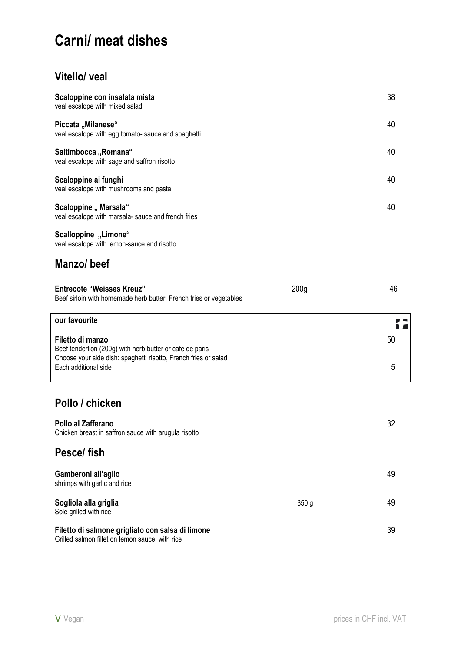# **Carni/ meat dishes**

#### **Vitello/ veal**

| Scaloppine con insalata mista<br>veal escalope with mixed salad                                                                                                         |                  | 38      |
|-------------------------------------------------------------------------------------------------------------------------------------------------------------------------|------------------|---------|
| Piccata "Milanese"<br>veal escalope with egg tomato- sauce and spaghetti                                                                                                |                  | 40      |
| Saltimbocca "Romana"<br>veal escalope with sage and saffron risotto                                                                                                     |                  | 40      |
| Scaloppine ai funghi<br>veal escalope with mushrooms and pasta                                                                                                          |                  | 40      |
| Scaloppine " Marsala"<br>veal escalope with marsala- sauce and french fries                                                                                             |                  | 40      |
| Scalloppine "Limone"<br>veal escalope with lemon-sauce and risotto                                                                                                      |                  |         |
| Manzo/beef                                                                                                                                                              |                  |         |
| <b>Entrecote "Weisses Kreuz"</b><br>Beef sirloin with homemade herb butter, French fries or vegetables                                                                  | 200 <sub>g</sub> | 46      |
|                                                                                                                                                                         |                  |         |
| our favourite                                                                                                                                                           |                  |         |
| Filetto di manzo<br>Beef tenderlion (200g) with herb butter or cafe de paris<br>Choose your side dish: spaghetti risotto, French fries or salad<br>Each additional side |                  | 50<br>5 |
|                                                                                                                                                                         |                  |         |
| Pollo / chicken                                                                                                                                                         |                  |         |
| Pollo al Zafferano<br>Chicken breast in saffron sauce with arugula risotto                                                                                              |                  | 32      |
| Pesce/fish                                                                                                                                                              |                  |         |
| Gamberoni all'aglio<br>shrimps with garlic and rice                                                                                                                     |                  | 49      |
| Sogliola alla griglia<br>Sole grilled with rice                                                                                                                         | 350 g            | 49      |

Grilled salmon fillet on lemon sauce, with rice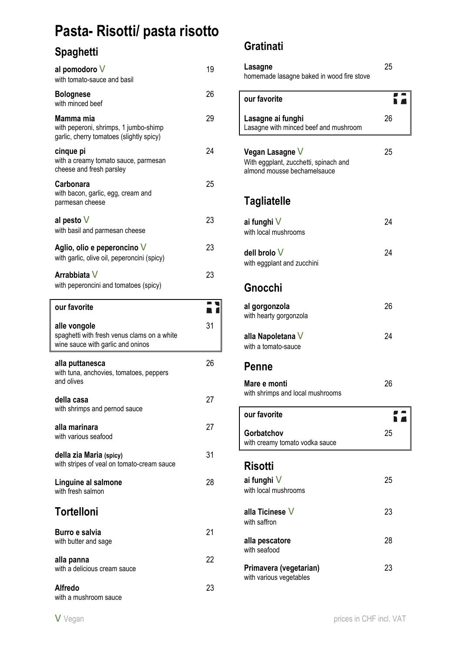# **Pasta- Risotti/ pasta risotto**

## **Spaghetti**

| al pomodoro V<br>with tomato-sauce and basil                                                   | 19 |
|------------------------------------------------------------------------------------------------|----|
| <b>Bolognese</b><br>with minced beef                                                           | 26 |
| Mamma mia<br>with peperoni, shrimps, 1 jumbo-shimp<br>garlic, cherry tomatoes (slightly spicy) | 29 |
| cinque pi<br>with a creamy tomato sauce, parmesan<br>cheese and fresh parsley                  | 24 |
| <b>Carbonara</b><br>with bacon, garlic, egg, cream and<br>parmesan cheese                      | 25 |
| al pesto $V$<br>with basil and parmesan cheese                                                 | 23 |
| Aglio, olio e peperoncino V<br>with garlic, olive oil, peperoncini (spicy)                     | 23 |
| Arrabbiata V<br>with peperoncini and tomatoes (spicy)                                          | 23 |
| our favorite                                                                                   |    |
| alle vongole                                                                                   | 31 |
| spaghetti with fresh venus clams on a white<br>wine sauce with garlic and oninos               |    |
| alla puttanesca<br>with tuna, anchovies, tomatoes, peppers<br>and olives                       | 26 |
| della casa<br>with shrimps and pernod sauce                                                    | 27 |
| alla marinara<br>with various seafood                                                          | 27 |
| della zia Maria (spicy)<br>with stripes of veal on tomato-cream sauce                          | 31 |
| Linguine al salmone<br>with fresh salmon                                                       | 28 |
| <b>Tortelloni</b>                                                                              |    |
| Burro e salvia<br>with butter and sage                                                         | 21 |
| alla panna<br>with a delicious cream sauce                                                     | 22 |

#### **Gratinati**

| Lasagne<br>homemade lasagne baked in wood fire stove                                    | 25 |
|-----------------------------------------------------------------------------------------|----|
| our favorite                                                                            |    |
| Lasagne ai funghi<br>Lasagne with minced beef and mushroom                              | 26 |
| Vegan Lasagne V<br>With eggplant, zucchetti, spinach and<br>almond mousse bechamelsauce | 25 |
| <b>Tagliatelle</b>                                                                      |    |
| ai funghi V<br>with local mushrooms                                                     | 24 |
| dell brolo V<br>with eggplant and zucchini                                              | 24 |
| Gnocchi                                                                                 |    |
| al gorgonzola<br>with hearty gorgonzola                                                 | 26 |
| alla Napoletana V<br>with a tomato-sauce                                                | 24 |
| Penne                                                                                   |    |
| Mare e monti<br>with shrimps and local mushrooms                                        | 26 |
| our favorite                                                                            |    |
| Gorbatchov<br>with creamy tomato vodka sauce                                            | 25 |
| <b>Risotti</b>                                                                          |    |
| ai funghi V<br>with local mushrooms                                                     | 25 |
| alla Ticinese V<br>with saffron                                                         | 23 |
| alla pescatore<br>with seafood                                                          | 28 |
| Primavera (vegetarian)<br>with various vegetables                                       | 23 |